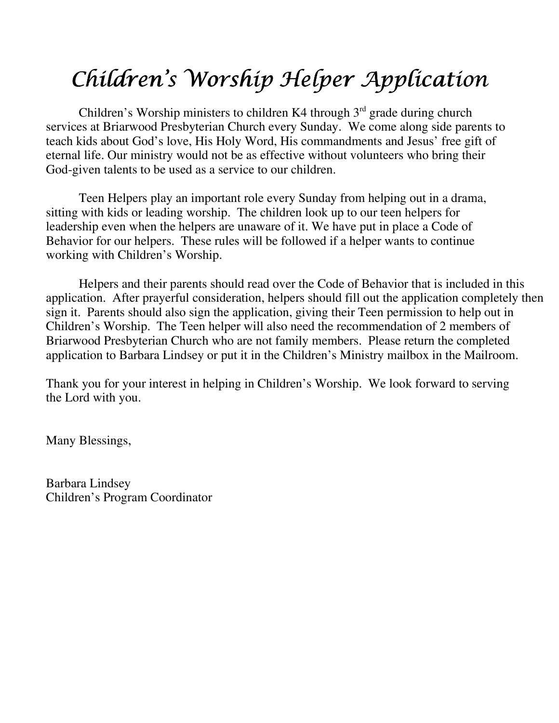## Children's Worship Helper Application

Children's Worship ministers to children K4 through  $3<sup>rd</sup>$  grade during church services at Briarwood Presbyterian Church every Sunday. We come along side parents to teach kids about God's love, His Holy Word, His commandments and Jesus' free gift of eternal life. Our ministry would not be as effective without volunteers who bring their God-given talents to be used as a service to our children.

Teen Helpers play an important role every Sunday from helping out in a drama, sitting with kids or leading worship. The children look up to our teen helpers for leadership even when the helpers are unaware of it. We have put in place a Code of Behavior for our helpers. These rules will be followed if a helper wants to continue working with Children's Worship.

Helpers and their parents should read over the Code of Behavior that is included in this application. After prayerful consideration, helpers should fill out the application completely then sign it. Parents should also sign the application, giving their Teen permission to help out in Children's Worship. The Teen helper will also need the recommendation of 2 members of Briarwood Presbyterian Church who are not family members. Please return the completed application to Barbara Lindsey or put it in the Children's Ministry mailbox in the Mailroom.

Thank you for your interest in helping in Children's Worship. We look forward to serving the Lord with you.

Many Blessings,

Barbara Lindsey Children's Program Coordinator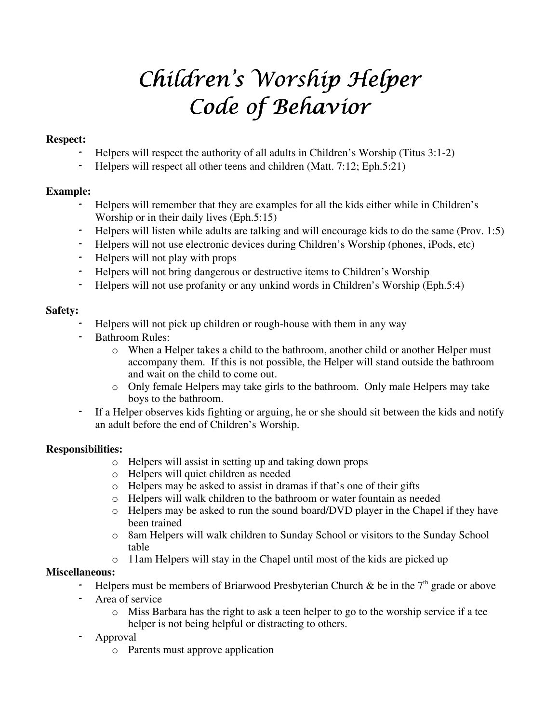## Children's Worship Helper Code of Behavior

#### Respect:

- Helpers will respect the authority of all adults in Children's Worship (Titus 3:1-2)
- Helpers will respect all other teens and children (Matt. 7:12; Eph.5:21)

#### Example:

- Helpers will remember that they are examples for all the kids either while in Children's Worship or in their daily lives (Eph.5:15)
- Helpers will listen while adults are talking and will encourage kids to do the same (Prov. 1:5)
- Helpers will not use electronic devices during Children's Worship (phones, iPods, etc)
- Helpers will not play with props
- Helpers will not bring dangerous or destructive items to Children's Worship
- Helpers will not use profanity or any unkind words in Children's Worship (Eph.5:4)

#### Safety:

- Helpers will not pick up children or rough-house with them in any way
- Bathroom Rules:
	- o When a Helper takes a child to the bathroom, another child or another Helper must accompany them. If this is not possible, the Helper will stand outside the bathroom and wait on the child to come out.
	- o Only female Helpers may take girls to the bathroom. Only male Helpers may take boys to the bathroom.
- If a Helper observes kids fighting or arguing, he or she should sit between the kids and notify an adult before the end of Children's Worship.

#### Responsibilities:

- o Helpers will assist in setting up and taking down props
- o Helpers will quiet children as needed
- o Helpers may be asked to assist in dramas if that's one of their gifts
- o Helpers will walk children to the bathroom or water fountain as needed
- o Helpers may be asked to run the sound board/DVD player in the Chapel if they have been trained
- o 8am Helpers will walk children to Sunday School or visitors to the Sunday School table
- o 11am Helpers will stay in the Chapel until most of the kids are picked up

#### Miscellaneous:

- Helpers must be members of Briarwood Presbyterian Church & be in the  $7<sup>th</sup>$  grade or above
- Area of service
	- $\circ$  Miss Barbara has the right to ask a teen helper to go to the worship service if a tee helper is not being helpful or distracting to others.

### - Approval

o Parents must approve application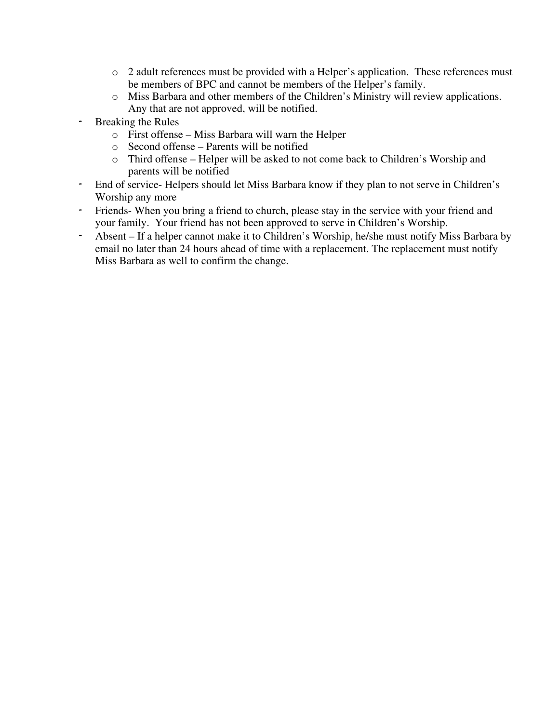- o 2 adult references must be provided with a Helper's application. These references must be members of BPC and cannot be members of the Helper's family.
- o Miss Barbara and other members of the Children's Ministry will review applications. Any that are not approved, will be notified.
- Breaking the Rules
	- o First offense Miss Barbara will warn the Helper
	- o Second offense Parents will be notified
	- o Third offense Helper will be asked to not come back to Children's Worship and parents will be notified
- End of service- Helpers should let Miss Barbara know if they plan to not serve in Children's Worship any more
- Friends- When you bring a friend to church, please stay in the service with your friend and your family. Your friend has not been approved to serve in Children's Worship.
- Absent If a helper cannot make it to Children's Worship, he/she must notify Miss Barbara by email no later than 24 hours ahead of time with a replacement. The replacement must notify Miss Barbara as well to confirm the change.